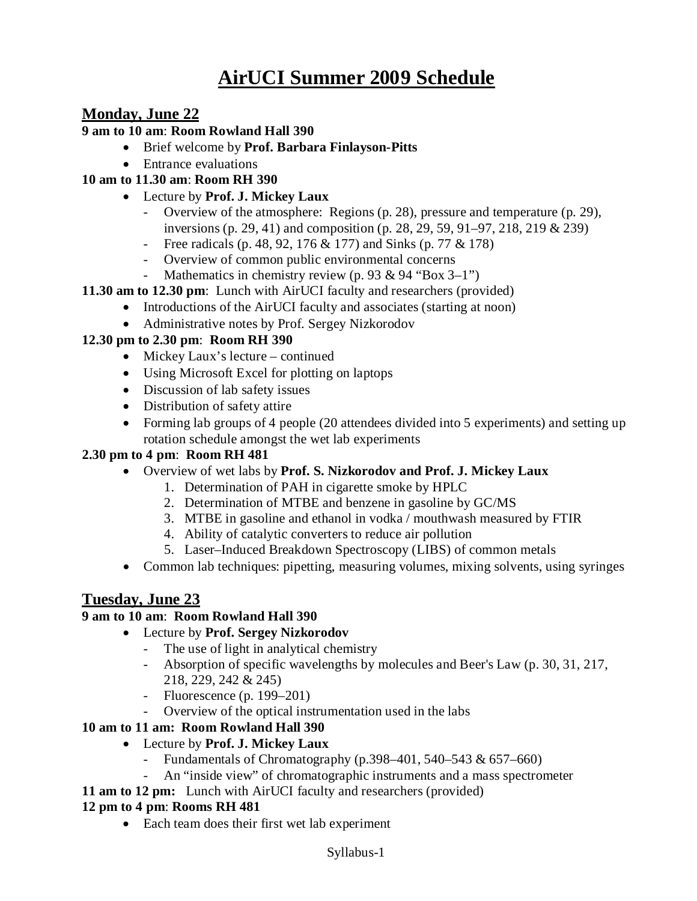# **AirUCI Summer 2009 Schedule**

# **Monday, June 22**

#### **9 am to 10 am**: **Room Rowland Hall 390**

- Brief welcome by **Prof. Barbara Finlayson-Pitts**
- Entrance evaluations
- **10 am to 11.30 am**: **Room RH 390**
	- Lecture by **Prof. J. Mickey Laux**
		- Overview of the atmosphere: Regions (p. 28), pressure and temperature (p. 29), inversions (p. 29, 41) and composition (p. 28, 29, 59, 91–97, 218, 219 & 239)
		- Free radicals (p. 48, 92, 176 & 177) and Sinks (p. 77 & 178)
		- Overview of common public environmental concerns
		- Mathematics in chemistry review (p. 93 & 94 "Box 3–1")
- **11.30 am to 12.30 pm**: Lunch with AirUCI faculty and researchers (provided)
	- Introductions of the AirUCI faculty and associates (starting at noon)
	- Administrative notes by Prof. Sergey Nizkorodov

#### **12.30 pm to 2.30 pm**: **Room RH 390**

- Mickey Laux's lecture continued
- Using Microsoft Excel for plotting on laptops
- Discussion of lab safety issues
- Distribution of safety attire
- Forming lab groups of 4 people (20 attendees divided into 5 experiments) and setting up rotation schedule amongst the wet lab experiments

#### **2.30 pm to 4 pm**: **Room RH 481**

- Overview of wet labs by **Prof. S. Nizkorodov and Prof. J. Mickey Laux**
	- 1. Determination of PAH in cigarette smoke by HPLC
	- 2. Determination of MTBE and benzene in gasoline by GC/MS
	- 3. MTBE in gasoline and ethanol in vodka / mouthwash measured by FTIR
	- 4. Ability of catalytic converters to reduce air pollution
	- 5. Laser–Induced Breakdown Spectroscopy (LIBS) of common metals
- Common lab techniques: pipetting, measuring volumes, mixing solvents, using syringes

# **Tuesday, June 23**

#### **9 am to 10 am**: **Room Rowland Hall 390**

- Lecture by **Prof. Sergey Nizkorodov**
	- The use of light in analytical chemistry
	- Absorption of specific wavelengths by molecules and Beer's Law (p. 30, 31, 217, 218, 229, 242 & 245)
	- Fluorescence (p.  $199-201$ )
	- Overview of the optical instrumentation used in the labs

#### **10 am to 11 am: Room Rowland Hall 390**

- Lecture by **Prof. J. Mickey Laux** 
	- Fundamentals of Chromatography (p.398–401, 540–543  $\& 657–660$ )
		- An "inside view" of chromatographic instruments and a mass spectrometer
- **11 am to 12 pm:** Lunch with AirUCI faculty and researchers (provided)

#### **12 pm to 4 pm**: **Rooms RH 481**

• Each team does their first wet lab experiment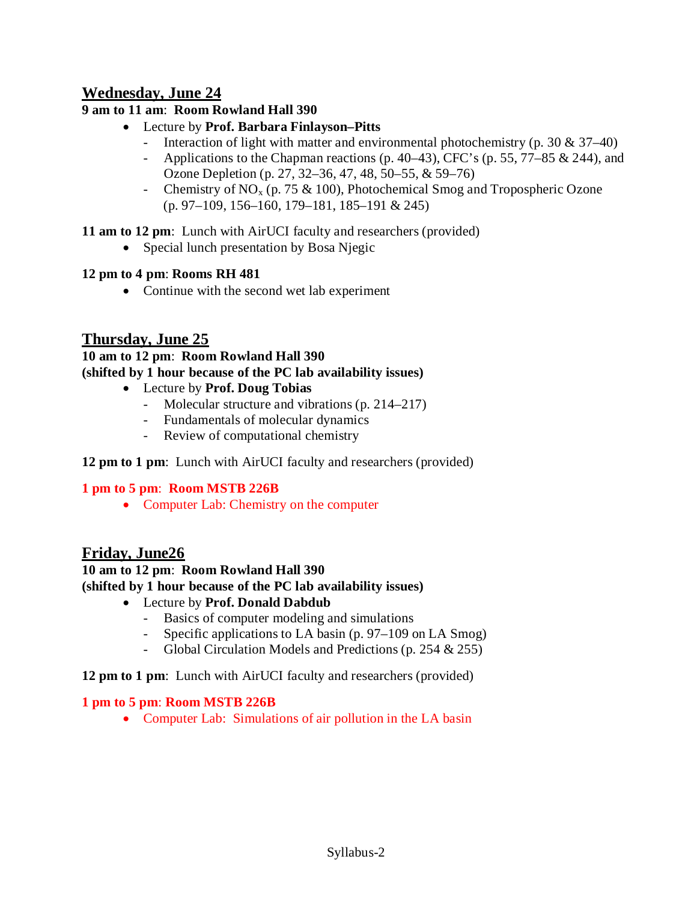# **Wednesday, June 24**

### **9 am to 11 am**: **Room Rowland Hall 390**

- Lecture by **Prof. Barbara Finlayson–Pitts**
	- Interaction of light with matter and environmental photochemistry (p. 30 & 37–40)
	- Applications to the Chapman reactions (p. 40–43), CFC's (p. 55, 77–85 & 244), and Ozone Depletion (p. 27, 32–36, 47, 48, 50–55, & 59–76)
	- Chemistry of  $NO<sub>x</sub>$  (p. 75 & 100), Photochemical Smog and Tropospheric Ozone (p. 97–109, 156–160, 179–181, 185–191 & 245)

**11 am to 12 pm**: Lunch with AirUCI faculty and researchers (provided)

• Special lunch presentation by Bosa Njegic

#### **12 pm to 4 pm**: **Rooms RH 481**

• Continue with the second wet lab experiment

# **Thursday, June 25**

# **10 am to 12 pm**: **Room Rowland Hall 390 (shifted by 1 hour because of the PC lab availability issues)**

- Lecture by **Prof. Doug Tobias**
	- Molecular structure and vibrations (p. 214–217)
	- Fundamentals of molecular dynamics
	- Review of computational chemistry

### **12 pm to 1 pm**: Lunch with AirUCI faculty and researchers (provided)

### **1 pm to 5 pm**: **Room MSTB 226B**

• Computer Lab: Chemistry on the computer

# **Friday, June26**

# **10 am to 12 pm**: **Room Rowland Hall 390 (shifted by 1 hour because of the PC lab availability issues)**

- Lecture by **Prof. Donald Dabdub**
	- Basics of computer modeling and simulations
	- Specific applications to LA basin (p. 97–109 on LA Smog)
	- Global Circulation Models and Predictions (p. 254 & 255)

#### **12 pm to 1 pm**: Lunch with AirUCI faculty and researchers (provided)

#### **1 pm to 5 pm**: **Room MSTB 226B**

• Computer Lab: Simulations of air pollution in the LA basin